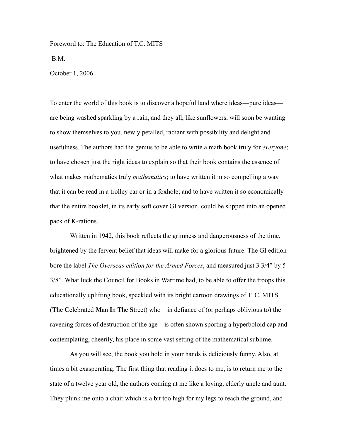Foreword to: The Education of T.C. MITS B.M. October 1, 2006

To enter the world of this book is to discover a hopeful land where ideas—pure ideas are being washed sparkling by a rain, and they all, like sunflowers, will soon be wanting to show themselves to you, newly petalled, radiant with possibility and delight and usefulness. The authors had the genius to be able to write a math book truly for *everyone*; to have chosen just the right ideas to explain so that their book contains the essence of what makes mathematics truly *mathematics*; to have written it in so compelling a way that it can be read in a trolley car or in a foxhole; and to have written it so economically that the entire booklet, in its early soft cover GI version, could be slipped into an opened pack of K-rations.

Written in 1942, this book reflects the grimness and dangerousness of the time, brightened by the fervent belief that ideas will make for a glorious future. The GI edition bore the label *The Overseas edition for the Armed Forces*, and measured just 3 3/4" by 5 3/8". What luck the Council for Books in Wartime had, to be able to offer the troops this educationally uplifting book, speckled with its bright cartoon drawings of T. C. MITS (**T**he **C**elebrated **M**an **I**n **T**he **S**treet) who—in defiance of (or perhaps oblivious to) the ravening forces of destruction of the age—is often shown sporting a hyperboloid cap and contemplating, cheerily, his place in some vast setting of the mathematical sublime.

As you will see, the book you hold in your hands is deliciously funny. Also, at times a bit exasperating. The first thing that reading it does to me, is to return me to the state of a twelve year old, the authors coming at me like a loving, elderly uncle and aunt. They plunk me onto a chair which is a bit too high for my legs to reach the ground, and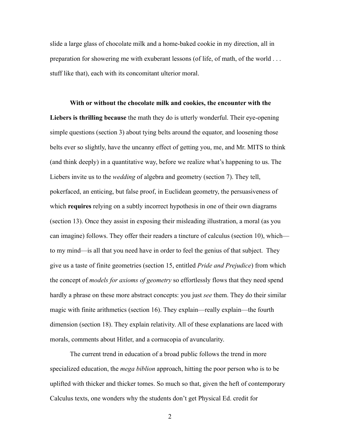slide a large glass of chocolate milk and a home-baked cookie in my direction, all in preparation for showering me with exuberant lessons (of life, of math, of the world . . . stuff like that), each with its concomitant ulterior moral.

## **With or without the chocolate milk and cookies, the encounter with the**

**Liebers is thrilling because** the math they do is utterly wonderful. Their eye-opening simple questions (section 3) about tying belts around the equator, and loosening those belts ever so slightly, have the uncanny effect of getting you, me, and Mr. MITS to think (and think deeply) in a quantitative way, before we realize what's happening to us. The Liebers invite us to the *wedding* of algebra and geometry (section 7). They tell, pokerfaced, an enticing, but false proof, in Euclidean geometry, the persuasiveness of which **requires** relying on a subtly incorrect hypothesis in one of their own diagrams (section 13). Once they assist in exposing their misleading illustration, a moral (as you can imagine) follows. They offer their readers a tincture of calculus (section 10), which to my mind—is all that you need have in order to feel the genius of that subject. They give us a taste of finite geometries (section 15, entitled *Pride and Prejudice*) from which the concept of *models for axioms of geometry* so effortlessly flows that they need spend hardly a phrase on these more abstract concepts: you just *see* them. They do their similar magic with finite arithmetics (section 16). They explain—really explain—the fourth dimension (section 18). They explain relativity. All of these explanations are laced with morals, comments about Hitler, and a cornucopia of avuncularity.

The current trend in education of a broad public follows the trend in more specialized education, the *mega biblion* approach, hitting the poor person who is to be uplifted with thicker and thicker tomes. So much so that, given the heft of contemporary Calculus texts, one wonders why the students don't get Physical Ed. credit for

2